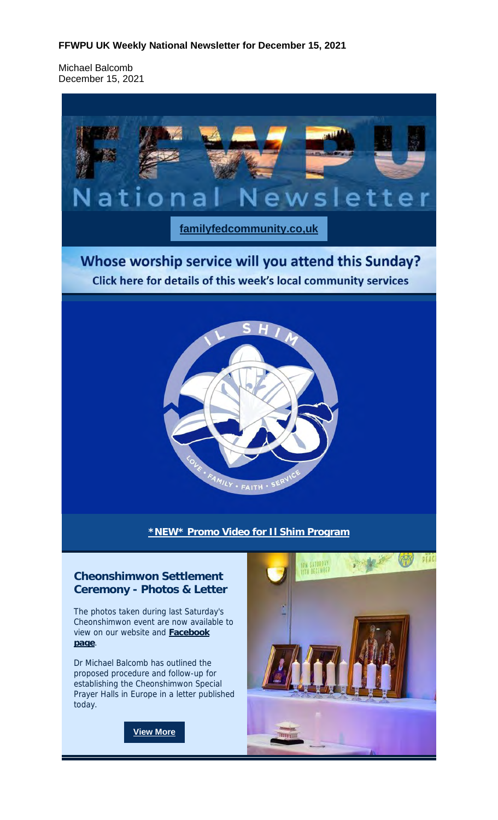#### **FFWPU UK Weekly National Newsletter for December 15, 2021**

Michael Balcomb December 15, 2021



## **Cheonshimwon Settlement Ceremony - Photos & Letter**

The photos taken during last Saturday's Cheonshimwon event are now available to view on our website and **Facebook page**.

Dr Michael Balcomb has outlined the proposed procedure and follow-up for establishing the Cheonshimwon Special Prayer Halls in Europe in a letter published today.

**View More**

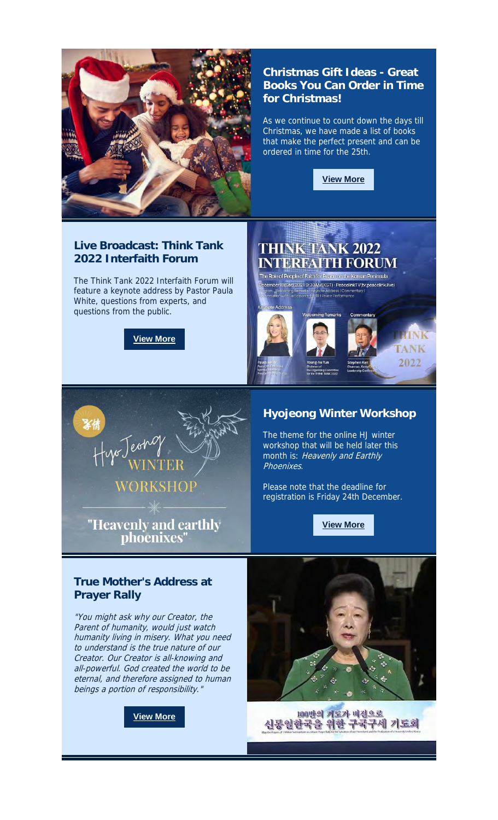

## **Christmas Gift Ideas - Great Books You Can Order in Time for Christmas!**

As we continue to count down the days till Christmas, we have made a list of books that make the perfect present and can be ordered in time for the 25th.



#### **Live Broadcast: Think Tank 2022 Interfaith Forum**

The Think Tank 2022 Interfaith Forum will feature a keynote address by Pastor Paula White, questions from experts, and questions from the public.

**View More**



"Heavenly and earthly phoenixes"

# **THINK TANK 2022 INTERFAITH FORUM**

The Role of People of Faith for Peace on the Korean Peninsula cember18(Sat),20219:30AM(KST) · PeacelinkTV(tv.peacelink.live)



## **Hyojeong Winter Workshop**

The theme for the online HJ winter workshop that will be held later this month is: Heavenly and Earthly Phoenixes.

Please note that the deadline for registration is Friday 24th December.

**View More**

## **True Mother's Address at Prayer Rally**

"You might ask why our Creator, the Parent of humanity, would just watch humanity living in misery. What you need to understand is the true nature of our Creator. Our Creator is all-knowing and all-powerful. God created the world to be eternal, and therefore assigned to human beings a portion of responsibility.

**View More**



100만의 계도가 비전으로 신통일한국을 위한 구국구세 기도회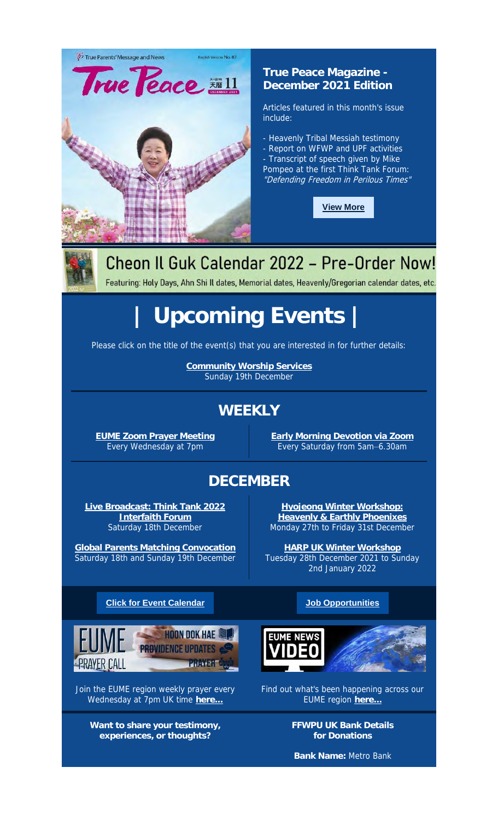